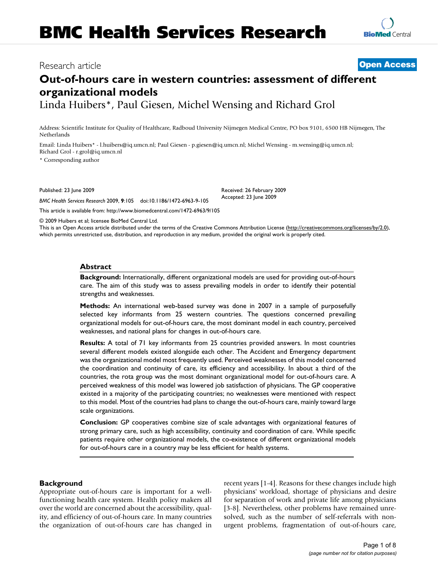# Research article **[Open Access](http://www.biomedcentral.com/info/about/charter/)**

# **Out-of-hours care in western countries: assessment of different organizational models**

Linda Huibers\*, Paul Giesen, Michel Wensing and Richard Grol

Address: Scientific Institute for Quality of Healthcare, Radboud University Nijmegen Medical Centre, PO box 9101, 6500 HB Nijmegen, The Netherlands

Email: Linda Huibers\* - l.huibers@iq.umcn.nl; Paul Giesen - p.giesen@iq.umcn.nl; Michel Wensing - m.wensing@iq.umcn.nl; Richard Grol - r.grol@iq.umcn.nl

\* Corresponding author

Published: 23 June 2009

*BMC Health Services Research* 2009, **9**:105 doi:10.1186/1472-6963-9-105

[This article is available from: http://www.biomedcentral.com/1472-6963/9/105](http://www.biomedcentral.com/1472-6963/9/105)

© 2009 Huibers et al; licensee BioMed Central Ltd.

This is an Open Access article distributed under the terms of the Creative Commons Attribution License [\(http://creativecommons.org/licenses/by/2.0\)](http://creativecommons.org/licenses/by/2.0), which permits unrestricted use, distribution, and reproduction in any medium, provided the original work is properly cited.

#### **Abstract**

**Background:** Internationally, different organizational models are used for providing out-of-hours care. The aim of this study was to assess prevailing models in order to identify their potential strengths and weaknesses.

**Methods:** An international web-based survey was done in 2007 in a sample of purposefully selected key informants from 25 western countries. The questions concerned prevailing organizational models for out-of-hours care, the most dominant model in each country, perceived weaknesses, and national plans for changes in out-of-hours care.

**Results:** A total of 71 key informants from 25 countries provided answers. In most countries several different models existed alongside each other. The Accident and Emergency department was the organizational model most frequently used. Perceived weaknesses of this model concerned the coordination and continuity of care, its efficiency and accessibility. In about a third of the countries, the rota group was the most dominant organizational model for out-of-hours care. A perceived weakness of this model was lowered job satisfaction of physicians. The GP cooperative existed in a majority of the participating countries; no weaknesses were mentioned with respect to this model. Most of the countries had plans to change the out-of-hours care, mainly toward large scale organizations.

**Conclusion:** GP cooperatives combine size of scale advantages with organizational features of strong primary care, such as high accessibility, continuity and coordination of care. While specific patients require other organizational models, the co-existence of different organizational models for out-of-hours care in a country may be less efficient for health systems.

#### **Background**

Appropriate out-of-hours care is important for a wellfunctioning health care system. Health policy makers all over the world are concerned about the accessibility, quality, and efficiency of out-of-hours care. In many countries the organization of out-of-hours care has changed in recent years [[1](#page-6-0)[-4\]](#page-6-1). Reasons for these changes include high physicians' workload, shortage of physicians and desire for separation of work and private life among physicians [[3-](#page-6-2)[8](#page-6-3)]. Nevertheless, other problems have remained unresolved, such as the number of self-referrals with nonurgent problems, fragmentation of out-of-hours care,



Received: 26 February 2009 Accepted: 23 June 2009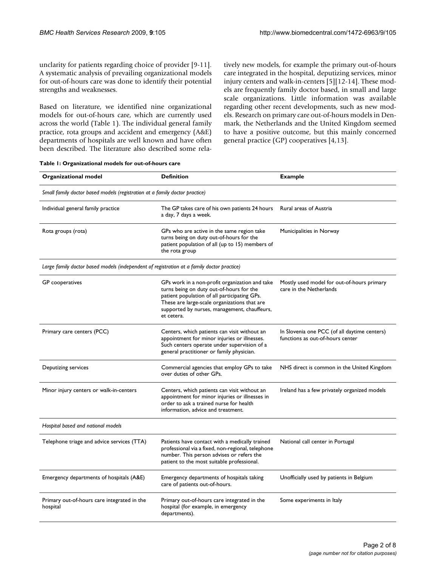unclarity for patients regarding choice of provider [[9](#page-6-4)[-11](#page-6-5)]. A systematic analysis of prevailing organizational models for out-of-hours care was done to identify their potential strengths and weaknesses.

Based on literature, we identified nine organizational models for out-of-hours care, which are currently used across the world (Table [1](#page-1-0)). The individual general family practice, rota groups and accident and emergency (A&E) departments of hospitals are well known and have often been described. The literature also described some relatively new models, for example the primary out-of-hours care integrated in the hospital, deputizing services, minor injury centers and walk-in-centers [[5](#page-6-6)][\[12-](#page-6-7)[14\]](#page-6-8). These models are frequently family doctor based, in small and large scale organizations. Little information was available regarding other recent developments, such as new models. Research on primary care out-of-hours models in Denmark, the Netherlands and the United Kingdom seemed to have a positive outcome, but this mainly concerned general practice (GP) cooperatives [[4](#page-6-1),[13](#page-6-9)].

| <b>Definition</b><br><b>Organizational model</b>                                           |                                                                                                                                                                                                                                                          | <b>Example</b>                                                                   |  |  |  |  |
|--------------------------------------------------------------------------------------------|----------------------------------------------------------------------------------------------------------------------------------------------------------------------------------------------------------------------------------------------------------|----------------------------------------------------------------------------------|--|--|--|--|
| Small family doctor based models (registration at a family doctor practice)                |                                                                                                                                                                                                                                                          |                                                                                  |  |  |  |  |
| Individual general family practice                                                         | The GP takes care of his own patients 24 hours<br>a day, 7 days a week.                                                                                                                                                                                  | Rural areas of Austria                                                           |  |  |  |  |
| Rota groups (rota)                                                                         | GPs who are active in the same region take<br>turns being on duty out-of-hours for the<br>patient population of all (up to 15) members of<br>the rota group                                                                                              | Municipalities in Norway                                                         |  |  |  |  |
| Large family doctor based models (independent of registration at a family doctor practice) |                                                                                                                                                                                                                                                          |                                                                                  |  |  |  |  |
| GP cooperatives                                                                            | GPs work in a non-profit organization and take<br>turns being on duty out-of-hours for the<br>patient population of all participating GPs.<br>These are large-scale organizations that are<br>supported by nurses, management, chauffeurs,<br>et cetera. | Mostly used model for out-of-hours primary<br>care in the Netherlands            |  |  |  |  |
| Primary care centers (PCC)                                                                 | Centers, which patients can visit without an<br>appointment for minor injuries or illnesses.<br>Such centers operate under supervision of a<br>general practitioner or family physician.                                                                 | In Slovenia one PCC (of all daytime centers)<br>functions as out-of-hours center |  |  |  |  |
| Deputizing services                                                                        | Commercial agencies that employ GPs to take<br>over duties of other GPs.                                                                                                                                                                                 | NHS direct is common in the United Kingdom                                       |  |  |  |  |
| Minor injury centers or walk-in-centers                                                    | Centers, which patients can visit without an<br>appointment for minor injuries or illnesses in<br>order to ask a trained nurse for health<br>information, advice and treatment.                                                                          | Ireland has a few privately organized models                                     |  |  |  |  |
| Hospital based and national models                                                         |                                                                                                                                                                                                                                                          |                                                                                  |  |  |  |  |
| Telephone triage and advice services (TTA)                                                 | Patients have contact with a medically trained<br>professional via a fixed, non-regional, telephone<br>number. This person advises or refers the<br>patient to the most suitable professional.                                                           | National call center in Portugal                                                 |  |  |  |  |
| Emergency departments of hospitals (A&E)                                                   | Emergency departments of hospitals taking<br>care of patients out-of-hours.                                                                                                                                                                              | Unofficially used by patients in Belgium                                         |  |  |  |  |
| Primary out-of-hours care integrated in the<br>hospital                                    | Primary out-of-hours care integrated in the<br>hospital (for example, in emergency<br>departments).                                                                                                                                                      | Some experiments in Italy                                                        |  |  |  |  |

<span id="page-1-0"></span>

|  |  | Table 1: Organizational models for out-of-hours care |  |  |  |  |
|--|--|------------------------------------------------------|--|--|--|--|
|--|--|------------------------------------------------------|--|--|--|--|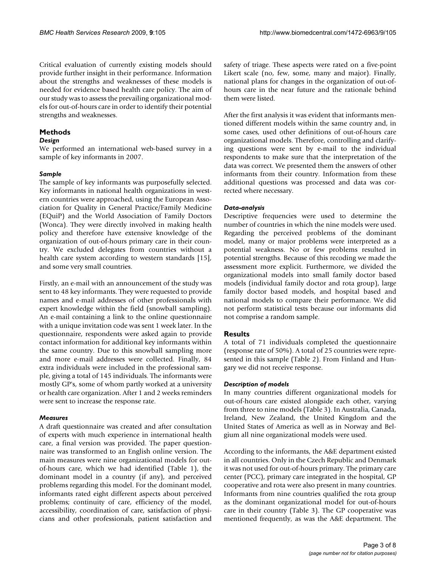Critical evaluation of currently existing models should provide further insight in their performance. Information about the strengths and weaknesses of these models is needed for evidence based health care policy. The aim of our study was to assess the prevailing organizational models for out-of-hours care in order to identify their potential strengths and weaknesses.

# **Methods**

### *Design*

We performed an international web-based survey in a sample of key informants in 2007.

# *Sample*

The sample of key informants was purposefully selected. Key informants in national health organizations in western countries were approached, using the European Association for Quality in General Practice/Family Medicine (EQuiP) and the World Association of Family Doctors (Wonca). They were directly involved in making health policy and therefore have extensive knowledge of the organization of out-of-hours primary care in their country. We excluded delegates from countries without a health care system according to western standards [\[15](#page-6-10)], and some very small countries.

Firstly, an e-mail with an announcement of the study was sent to 48 key informants. They were requested to provide names and e-mail addresses of other professionals with expert knowledge within the field (snowball sampling). An e-mail containing a link to the online questionnaire with a unique invitation code was sent 1 week later. In the questionnaire, respondents were asked again to provide contact information for additional key informants within the same country. Due to this snowball sampling more and more e-mail addresses were collected. Finally, 84 extra individuals were included in the professional sample, giving a total of 145 individuals. The informants were mostly GP's, some of whom partly worked at a university or health care organization. After 1 and 2 weeks reminders were sent to increase the response rate.

# *Measures*

A draft questionnaire was created and after consultation of experts with much experience in international health care, a final version was provided. The paper questionnaire was transformed to an English online version. The main measures were nine organizational models for outof-hours care, which we had identified (Table [1](#page-1-0)), the dominant model in a country (if any), and perceived problems regarding this model. For the dominant model, informants rated eight different aspects about perceived problems; continuity of care, efficiency of the model, accessibility, coordination of care, satisfaction of physicians and other professionals, patient satisfaction and

safety of triage. These aspects were rated on a five-point Likert scale (no, few, some, many and major). Finally, national plans for changes in the organization of out-ofhours care in the near future and the rationale behind them were listed.

After the first analysis it was evident that informants mentioned different models within the same country and, in some cases, used other definitions of out-of-hours care organizational models. Therefore, controlling and clarifying questions were sent by e-mail to the individual respondents to make sure that the interpretation of the data was correct. We presented them the answers of other informants from their country. Information from these additional questions was processed and data was corrected where necessary.

# *Data-analysis*

Descriptive frequencies were used to determine the number of countries in which the nine models were used. Regarding the perceived problems of the dominant model, many or major problems were interpreted as a potential weakness. No or few problems resulted in potential strengths. Because of this recoding we made the assessment more explicit. Furthermore, we divided the organizational models into small family doctor based models (individual family doctor and rota group), large family doctor based models, and hospital based and national models to compare their performance. We did not perform statistical tests because our informants did not comprise a random sample.

# **Results**

A total of 71 individuals completed the questionnaire (response rate of 50%). A total of 25 countries were represented in this sample (Table [2](#page-3-0)). From Finland and Hungary we did not receive response.

# *Description of models*

In many countries different organizational models for out-of-hours care existed alongside each other, varying from three to nine models (Table [3](#page-4-0)). In Australia, Canada, Ireland, New Zealand, the United Kingdom and the United States of America as well as in Norway and Belgium all nine organizational models were used.

According to the informants, the A&E department existed in all countries. Only in the Czech Republic and Denmark it was not used for out-of-hours primary. The primary care center (PCC), primary care integrated in the hospital, GP cooperative and rota were also present in many countries. Informants from nine countries qualified the rota group as the dominant organizational model for out-of-hours care in their country (Table [3\)](#page-4-0). The GP cooperative was mentioned frequently, as was the A&E department. The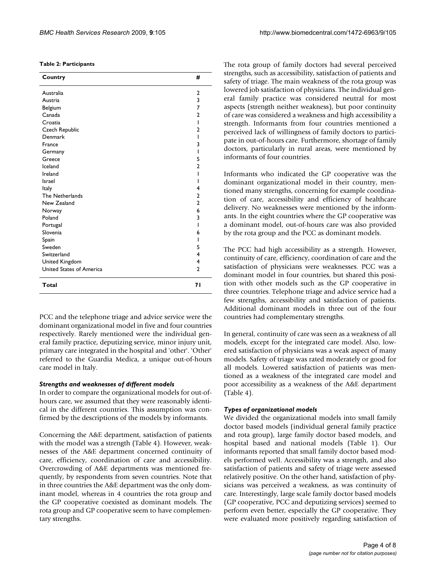<span id="page-3-0"></span>

| Table 2: Participants |  |  |  |  |  |
|-----------------------|--|--|--|--|--|
|-----------------------|--|--|--|--|--|

| Country                  | #              |
|--------------------------|----------------|
| Australia                | 2              |
| Austria                  | 3              |
| Belgium                  | 7              |
| Canada                   | $\overline{2}$ |
| Croatia                  | ı              |
| Czech Republic           | $\overline{2}$ |
| Denmark                  | T              |
| France                   | 3              |
| Germany                  | ı              |
| Greece                   | 5              |
| Iceland                  | $\overline{2}$ |
| Ireland                  | ı              |
| Israel                   | ı              |
| Italy                    | 4              |
| The Netherlands          | $\overline{2}$ |
| New Zealand              | 2              |
| Norway                   | 6              |
| Poland                   | 3              |
| Portugal                 | ı              |
| Slovenia                 | 6              |
| Spain                    | ı              |
| Sweden                   | 5              |
| Switzerland              | 4              |
| <b>United Kingdom</b>    | 4              |
| United States of America | $\overline{2}$ |
| Total                    | 71             |

PCC and the telephone triage and advice service were the dominant organizational model in five and four countries respectively. Rarely mentioned were the individual general family practice, deputizing service, minor injury unit, primary care integrated in the hospital and 'other'. 'Other' referred to the Guardia Medica, a unique out-of-hours care model in Italy.

#### *Strengths and weaknesses of different models*

In order to compare the organizational models for out-ofhours care, we assumed that they were reasonably identical in the different countries. This assumption was confirmed by the descriptions of the models by informants.

Concerning the A&E department, satisfaction of patients with the model was a strength (Table [4\)](#page-5-0). However, weaknesses of the A&E department concerned continuity of care, efficiency, coordination of care and accessibility. Overcrowding of A&E departments was mentioned frequently, by respondents from seven countries. Note that in three countries the A&E department was the only dominant model, whereas in 4 countries the rota group and the GP cooperative coexisted as dominant models. The rota group and GP cooperative seem to have complementary strengths.

The rota group of family doctors had several perceived strengths, such as accessibility, satisfaction of patients and safety of triage. The main weakness of the rota group was lowered job satisfaction of physicians. The individual general family practice was considered neutral for most aspects (strength neither weakness), but poor continuity of care was considered a weakness and high accessibility a strength. Informants from four countries mentioned a perceived lack of willingness of family doctors to participate in out-of-hours care. Furthermore, shortage of family doctors, particularly in rural areas, were mentioned by informants of four countries.

Informants who indicated the GP cooperative was the dominant organizational model in their country, mentioned many strengths, concerning for example coordination of care, accessibility and efficiency of healthcare delivery. No weaknesses were mentioned by the informants. In the eight countries where the GP cooperative was a dominant model, out-of-hours care was also provided by the rota group and the PCC as dominant models.

The PCC had high accessibility as a strength. However, continuity of care, efficiency, coordination of care and the satisfaction of physicians were weaknesses. PCC was a dominant model in four countries, but shared this position with other models such as the GP cooperative in three countries. Telephone triage and advice service had a few strengths, accessibility and satisfaction of patients. Additional dominant models in three out of the four countries had complementary strengths.

In general, continuity of care was seen as a weakness of all models, except for the integrated care model. Also, lowered satisfaction of physicians was a weak aspect of many models. Safety of triage was rated moderately or good for all models. Lowered satisfaction of patients was mentioned as a weakness of the integrated care model and poor accessibility as a weakness of the A&E department (Table [4\)](#page-5-0).

#### *Types of organizational models*

We divided the organizational models into small family doctor based models (individual general family practice and rota group), large family doctor based models, and hospital based and national models (Table [1](#page-1-0)). Our informants reported that small family doctor based models performed well. Accessibility was a strength, and also satisfaction of patients and safety of triage were assessed relatively positive. On the other hand, satisfaction of physicians was perceived a weakness, as was continuity of care. Interestingly, large scale family doctor based models (GP cooperative, PCC and deputizing services) seemed to perform even better, especially the GP cooperative. They were evaluated more positively regarding satisfaction of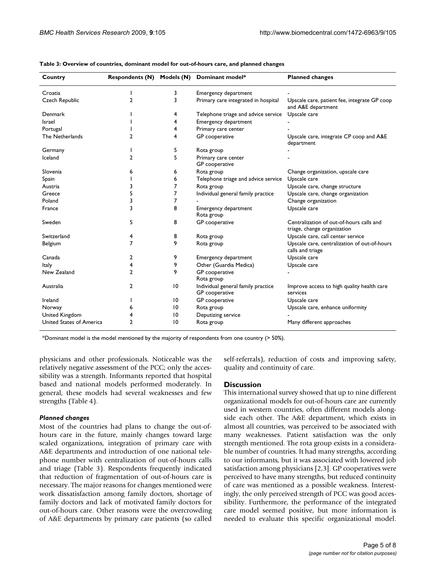| Country                  | Respondents (N) Models (N) |                 | Dominant model*                                      | <b>Planned changes</b>                                                  |  |  |
|--------------------------|----------------------------|-----------------|------------------------------------------------------|-------------------------------------------------------------------------|--|--|
| Croatia                  |                            | 3               | Emergency department                                 |                                                                         |  |  |
| Czech Republic           | 2                          | 3               | Primary care integrated in hospital                  | Upscale care, patient fee, integrate GP coop<br>and A&E department      |  |  |
| Denmark                  |                            | 4               | Telephone triage and advice service                  | Upscale care                                                            |  |  |
| <b>Israel</b>            |                            | 4               | Emergency department                                 |                                                                         |  |  |
| Portugal                 |                            | 4               | Primary care center                                  |                                                                         |  |  |
| The Netherlands          | 2                          | 4               | GP cooperative                                       | Upscale care, integrate CP coop and A&E<br>department                   |  |  |
| Germany                  |                            | 5               | Rota group                                           |                                                                         |  |  |
| Iceland                  | $\mathbf{2}$               | 5               | Primary care center<br>GP cooperative                |                                                                         |  |  |
| Slovenia                 | 6                          | 6               | Rota group                                           | Change organization, upscale care                                       |  |  |
| Spain                    |                            | 6               | Telephone triage and advice service                  | Upscale care                                                            |  |  |
| Austria                  | 3                          | 7               | Rota group                                           | Upscale care, change structure                                          |  |  |
| Greece                   | 5                          | 7               | Individual general family practice                   | Upscale care, change organization                                       |  |  |
| Poland                   | 3                          | 7               |                                                      | Change organization                                                     |  |  |
| France                   | 3                          | 8               | Emergency department<br>Rota group                   | Upscale care                                                            |  |  |
| Sweden                   | 5                          | 8               | GP cooperative                                       | Centralization of out-of-hours calls and<br>triage, change organization |  |  |
| Switzerland              | 4                          | 8               | Rota group                                           | Upscale care, call center service                                       |  |  |
| Belgium                  | 7                          | 9               | Rota group                                           | Upscale care, centralization of out-of-hours<br>calls and triage        |  |  |
| Canada                   | 2                          | 9               | Emergency department                                 | Upscale care                                                            |  |  |
| Italy                    | 4                          | 9               | Other (Guardia Medica)                               | Upscale care                                                            |  |  |
| New Zealand              | $\mathbf{2}$               | 9               | GP cooperative<br>Rota group                         |                                                                         |  |  |
| Australia                | 2                          | $\overline{10}$ | Individual general family practice<br>GP cooperative | Improve access to high quality health care<br>services                  |  |  |
| Ireland                  |                            | $\overline{10}$ | GP cooperative                                       | Upscale care                                                            |  |  |
| Norway                   | 6                          | $\overline{10}$ | Rota group                                           | Upscale care, enhance uniformity                                        |  |  |
| United Kingdom           | 4                          | $\overline{10}$ | Deputizing service                                   |                                                                         |  |  |
| United States of America | $\mathbf{2}$               | 0               | Rota group                                           | Many different approaches                                               |  |  |

<span id="page-4-0"></span>

|  | Table 3: Overview of countries, dominant model for out-of-hours care, and planned changes |  |
|--|-------------------------------------------------------------------------------------------|--|
|--|-------------------------------------------------------------------------------------------|--|

\*Dominant model is the model mentioned by the majority of respondents from one country (> 50%).

physicians and other professionals. Noticeable was the relatively negative assessment of the PCC; only the accessibility was a strength. Informants reported that hospital based and national models performed moderately. In general, these models had several weaknesses and few strengths (Table [4](#page-5-0)).

#### *Planned changes*

Most of the countries had plans to change the out-ofhours care in the future, mainly changes toward large scaled organizations, integration of primary care with A&E departments and introduction of one national telephone number with centralization of out-of-hours calls and triage (Table [3](#page-4-0)). Respondents frequently indicated that reduction of fragmentation of out-of-hours care is necessary. The major reasons for changes mentioned were work dissatisfaction among family doctors, shortage of family doctors and lack of motivated family doctors for out-of-hours care. Other reasons were the overcrowding of A&E departments by primary care patients (so called

self-referrals), reduction of costs and improving safety, quality and continuity of care.

#### **Discussion**

This international survey showed that up to nine different organizational models for out-of-hours care are currently used in western countries, often different models alongside each other. The A&E department, which exists in almost all countries, was perceived to be associated with many weaknesses. Patient satisfaction was the only strength mentioned. The rota group exists in a considerable number of countries. It had many strengths, according to our informants, but it was associated with lowered job satisfaction among physicians [[2](#page-6-11)[,3\]](#page-6-2). GP cooperatives were perceived to have many strengths, but reduced continuity of care was mentioned as a possible weakness. Interestingly, the only perceived strength of PCC was good accessibility. Furthermore, the performance of the integrated care model seemed positive, but more information is needed to evaluate this specific organizational model.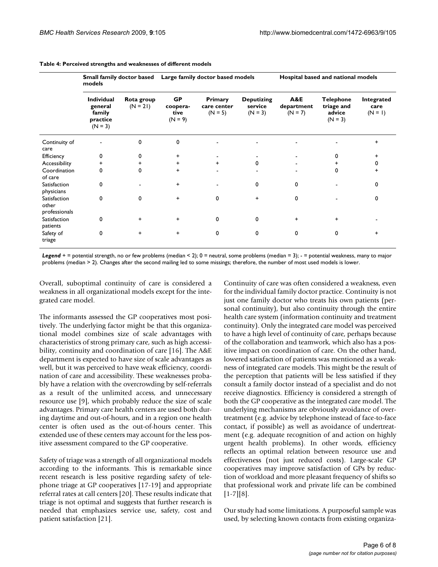|                                        | models                                                          |                          | Small family doctor based Large family doctor based models |                                     |                                           | Hospital based and national models |                                                |                                 |
|----------------------------------------|-----------------------------------------------------------------|--------------------------|------------------------------------------------------------|-------------------------------------|-------------------------------------------|------------------------------------|------------------------------------------------|---------------------------------|
|                                        | <b>Individual</b><br>general<br>family<br>practice<br>$(N = 3)$ | Rota group<br>$(N = 21)$ | GP<br>coopera-<br>tive<br>$(N = 9)$                        | Primary<br>care center<br>$(N = 5)$ | <b>Deputizing</b><br>service<br>$(N = 3)$ | A&E<br>department<br>$(N = 7)$     | Telephone<br>triage and<br>advice<br>$(N = 3)$ | Integrated<br>care<br>$(N = 1)$ |
| Continuity of<br>care                  |                                                                 | 0                        | 0                                                          |                                     |                                           |                                    |                                                | $\ddot{}$                       |
| Efficiency                             | 0                                                               | 0                        | +                                                          |                                     |                                           |                                    | 0                                              | $\ddot{}$                       |
| Accessibility                          | +                                                               | ÷                        | $^+$                                                       | $\ddot{}$                           | 0                                         |                                    | $\pm$                                          | 0                               |
| Coordination<br>of care                | 0                                                               | 0                        | $\ddot{}$                                                  |                                     |                                           |                                    | 0                                              | +                               |
| Satisfaction<br>physicians             | $\Omega$                                                        |                          | $\ddot{}$                                                  |                                     | $\Omega$                                  | 0                                  |                                                | $\Omega$                        |
| Satisfaction<br>other<br>professionals | 0                                                               | 0                        | $\pm$                                                      | 0                                   | $\ddot{}$                                 | $\mathbf 0$                        |                                                | 0                               |
| Satisfaction<br>patients               | 0                                                               | $\ddot{}$                | $\pm$                                                      | 0                                   | 0                                         | ÷                                  | $\pm$                                          |                                 |
| Safety of<br>triage                    | 0                                                               | $\ddot{}$                | $\ddot{}$                                                  | 0                                   | 0                                         | 0                                  | 0                                              | ÷                               |

<span id="page-5-0"></span>**Table 4: Perceived strengths and weaknesses of different models**

Legend + = potential strength, no or few problems (median < 2); 0 = neutral, some problems (median = 3); - = potential weakness, many to major problems (median > 2). Changes after the second mailing led to some missings; therefore, the number of most used models is lower.

Overall, suboptimal continuity of care is considered a weakness in all organizational models except for the integrated care model.

The informants assessed the GP cooperatives most positively. The underlying factor might be that this organizational model combines size of scale advantages with characteristics of strong primary care, such as high accessibility, continuity and coordination of care [[16\]](#page-6-12). The A&E department is expected to have size of scale advantages as well, but it was perceived to have weak efficiency, coordination of care and accessibility. These weaknesses probably have a relation with the overcrowding by self-referrals as a result of the unlimited access, and unnecessary resource use [[9](#page-6-4)], which probably reduce the size of scale advantages. Primary care health centers are used both during daytime and out-of-hours, and in a region one health center is often used as the out-of-hours center. This extended use of these centers may account for the less positive assessment compared to the GP cooperative.

Safety of triage was a strength of all organizational models according to the informants. This is remarkable since recent research is less positive regarding safety of telephone triage at GP cooperatives [[17-](#page-6-13)[19\]](#page-6-14) and appropriate referral rates at call centers [[20\]](#page-6-15). These results indicate that triage is not optimal and suggests that further research is needed that emphasizes service use, safety, cost and patient satisfaction [[21](#page-7-0)].

Continuity of care was often considered a weakness, even for the individual family doctor practice. Continuity is not just one family doctor who treats his own patients (personal continuity), but also continuity through the entire health care system (information continuity and treatment continuity). Only the integrated care model was perceived to have a high level of continuity of care, perhaps because of the collaboration and teamwork, which also has a positive impact on coordination of care. On the other hand, lowered satisfaction of patients was mentioned as a weakness of integrated care models. This might be the result of the perception that patients will be less satisfied if they consult a family doctor instead of a specialist and do not receive diagnostics. Efficiency is considered a strength of both the GP cooperative as the integrated care model. The underlying mechanisms are obviously avoidance of overtreatment (e.g. advice by telephone instead of face-to-face contact, if possible) as well as avoidance of undertreatment (e.g. adequate recognition of and action on highly urgent health problems). In other words, efficiency reflects an optimal relation between resource use and effectiveness (not just reduced costs). Large-scale GP cooperatives may improve satisfaction of GPs by reduction of workload and more pleasant frequency of shifts so that professional work and private life can be combined [[1-](#page-6-0)[7](#page-6-16)][\[8\]](#page-6-3).

Our study had some limitations. A purposeful sample was used, by selecting known contacts from existing organiza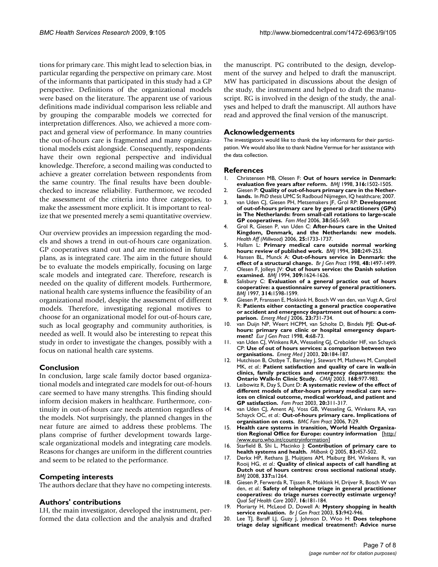tions for primary care. This might lead to selection bias, in particular regarding the perspective on primary care. Most of the informants that participated in this study had a GP perspective. Definitions of the organizational models were based on the literature. The apparent use of various definitions made individual comparison less reliable and by grouping the comparable models we corrected for interpretation differences. Also, we achieved a more compact and general view of performance. In many countries the out-of-hours care is fragmented and many organizational models exist alongside. Consequently, respondents have their own regional perspective and individual knowledge. Therefore, a second mailing was conducted to achieve a greater correlation between respondents from the same country. The final results have been doublechecked to increase reliability. Furthermore, we recoded the assessment of the criteria into three categories, to make the assessment more explicit. It is important to realize that we presented merely a semi quantitative overview.

Our overview provides an impression regarding the models and shows a trend in out-of-hours care organization. GP cooperatives stand out and are mentioned in future plans, as is integrated care. The aim in the future should be to evaluate the models empirically, focusing on large scale models and integrated care. Therefore, research is needed on the quality of different models. Furthermore, national health care systems influence the feasibility of an organizational model, despite the assessment of different models. Therefore, investigating regional motives to choose for an organizational model for out-of-hours care, such as local geography and community authorities, is needed as well. It would also be interesting to repeat this study in order to investigate the changes, possibly with a focus on national health care systems.

#### **Conclusion**

In conclusion, large scale family doctor based organizational models and integrated care models for out-of-hours care seemed to have many strengths. This finding should inform decision makers in healthcare. Furthermore, continuity in out-of-hours care needs attention regardless of the models. Not surprisingly, the planned changes in the near future are aimed to address these problems. The plans comprise of further development towards largescale organizational models and integrating care models. Reasons for changes are uniform in the different countries and seem to be related to the performance.

#### **Competing interests**

The authors declare that they have no competing interests.

#### **Authors' contributions**

LH, the main investigator, developed the instrument, performed the data collection and the analysis and drafted

the manuscript. PG contributed to the design, development of the survey and helped to draft the manuscript. MW has participated in discussions about the design of the study, the instrument and helped to draft the manuscript. RG is involved in the design of the study, the analyses and helped to draft the manuscript. All authors have read and approved the final version of the manuscript.

#### **Acknowledgements**

The investigators would like to thank the key informants for their participation. We would also like to thank Nadine Vermue for her assistance with the data collection.

#### **References**

- <span id="page-6-0"></span>1. Christensen MB, Olesen F: **[Out of hours service in Denmark:](http://www.ncbi.nlm.nih.gov/entrez/query.fcgi?cmd=Retrieve&db=PubMed&dopt=Abstract&list_uids=9582141) [evaluation five years after reform.](http://www.ncbi.nlm.nih.gov/entrez/query.fcgi?cmd=Retrieve&db=PubMed&dopt=Abstract&list_uids=9582141)** *BMJ* 1998, **316:**1502-1505.
- <span id="page-6-11"></span>2. Giesen P: **Quality of out-of-hours primary care in the Netherlands.** In *PhD thesis* UMC St Radboud Nijmegen, IQ healthcare; 2007.
- <span id="page-6-2"></span>3. van Uden CJ, Giesen PH, Metsemakers JF, Grol RP: **[Development](http://www.ncbi.nlm.nih.gov/entrez/query.fcgi?cmd=Retrieve&db=PubMed&dopt=Abstract&list_uids=16944387) [of out-of-hours primary care by general practitioners \(GPs\)](http://www.ncbi.nlm.nih.gov/entrez/query.fcgi?cmd=Retrieve&db=PubMed&dopt=Abstract&list_uids=16944387) in The Netherlands: from small-call rotations to large-scale [GP cooperatives.](http://www.ncbi.nlm.nih.gov/entrez/query.fcgi?cmd=Retrieve&db=PubMed&dopt=Abstract&list_uids=16944387)** *Fam Med* 2006, **38:**565-569.
- <span id="page-6-1"></span>4. Grol R, Giesen P, van Uden C: **[After-hours care in the United](http://www.ncbi.nlm.nih.gov/entrez/query.fcgi?cmd=Retrieve&db=PubMed&dopt=Abstract&list_uids=17102200) [Kingdom, Denmark, and the Netherlands: new models.](http://www.ncbi.nlm.nih.gov/entrez/query.fcgi?cmd=Retrieve&db=PubMed&dopt=Abstract&list_uids=17102200)** *Health Aff (Millwood)* 2006, **25:**1733-1737.
- <span id="page-6-6"></span>5. Hallam L: **[Primary medical care outside normal working](http://www.ncbi.nlm.nih.gov/entrez/query.fcgi?cmd=Retrieve&db=PubMed&dopt=Abstract&list_uids=8111262) [hours: review of published work.](http://www.ncbi.nlm.nih.gov/entrez/query.fcgi?cmd=Retrieve&db=PubMed&dopt=Abstract&list_uids=8111262)** *BMJ* 1994, **308:**249-253.
- 6. Hansen BL, Munck A: **[Out-of-hours service in Denmark: the](http://www.ncbi.nlm.nih.gov/entrez/query.fcgi?cmd=Retrieve&db=PubMed&dopt=Abstract&list_uids=10024709) [effect of a structural change.](http://www.ncbi.nlm.nih.gov/entrez/query.fcgi?cmd=Retrieve&db=PubMed&dopt=Abstract&list_uids=10024709)** *Br J Gen Pract* 1998, **48:**1497-1499.
- <span id="page-6-16"></span>7. Olesen F, Jolleys JV: **[Out of hours service: the Danish solution](http://www.ncbi.nlm.nih.gov/entrez/query.fcgi?cmd=Retrieve&db=PubMed&dopt=Abstract&list_uids=7819945) [examined.](http://www.ncbi.nlm.nih.gov/entrez/query.fcgi?cmd=Retrieve&db=PubMed&dopt=Abstract&list_uids=7819945)** *BMJ* 1994, **309:**1624-1626.
- <span id="page-6-3"></span>8. Salisbury C: **[Evaluation of a general practice out of hours](http://www.ncbi.nlm.nih.gov/entrez/query.fcgi?cmd=Retrieve&db=PubMed&dopt=Abstract&list_uids=9186173) [cooperative: a questionnaire survey of general practitioners.](http://www.ncbi.nlm.nih.gov/entrez/query.fcgi?cmd=Retrieve&db=PubMed&dopt=Abstract&list_uids=9186173)** *BMJ* 1997, **314:**1598-1599.
- <span id="page-6-4"></span>9. Giesen P, Franssen E, Mokkink H, Bosch W van den, van Vugt A, Grol R: **[Patients either contacting a general practice cooperative](http://www.ncbi.nlm.nih.gov/entrez/query.fcgi?cmd=Retrieve&db=PubMed&dopt=Abstract&list_uids=16921097) [or accident and emergency department out of hours: a com](http://www.ncbi.nlm.nih.gov/entrez/query.fcgi?cmd=Retrieve&db=PubMed&dopt=Abstract&list_uids=16921097)[parison.](http://www.ncbi.nlm.nih.gov/entrez/query.fcgi?cmd=Retrieve&db=PubMed&dopt=Abstract&list_uids=16921097)** *Emerg Med J* 2006, **23:**731-734.
- 10. van Duijn NP, Weert HCPM, van Scholte D, Bindels PJE: **Out-ofhours: primary care clinic or hospital emergency department?** *Eur J Gen Pract* 1998, **4:**68-73.
- <span id="page-6-5"></span>11. van Uden CJ, Winkens RA, Wesseling GJ, Crebolder HF, van Schayck CP: **[Use of out of hours services: a comparison between two](http://www.ncbi.nlm.nih.gov/entrez/query.fcgi?cmd=Retrieve&db=PubMed&dopt=Abstract&list_uids=12642541) [organisations.](http://www.ncbi.nlm.nih.gov/entrez/query.fcgi?cmd=Retrieve&db=PubMed&dopt=Abstract&list_uids=12642541)** *Emerg Med J* 2003, **20:**184-187.
- <span id="page-6-7"></span>Hutchison B, Ostbye T, Barnsley J, Stewart M, Mathews M, Campbell MK, *et al.*: **[Patient satisfaction and quality of care in walk-in](http://www.ncbi.nlm.nih.gov/entrez/query.fcgi?cmd=Retrieve&db=PubMed&dopt=Abstract&list_uids=12695380) [clinics, family practices and emergency departments: the](http://www.ncbi.nlm.nih.gov/entrez/query.fcgi?cmd=Retrieve&db=PubMed&dopt=Abstract&list_uids=12695380) [Ontario Walk-In Clinic Study.](http://www.ncbi.nlm.nih.gov/entrez/query.fcgi?cmd=Retrieve&db=PubMed&dopt=Abstract&list_uids=12695380)** *CMAJ* 2003, **168:**977-983.
- <span id="page-6-9"></span>13. Leibowitz R, Day S, Dunt D: **[A systematic review of the effect of](http://www.ncbi.nlm.nih.gov/entrez/query.fcgi?cmd=Retrieve&db=PubMed&dopt=Abstract&list_uids=12738701) [different models of after-hours primary medical care serv](http://www.ncbi.nlm.nih.gov/entrez/query.fcgi?cmd=Retrieve&db=PubMed&dopt=Abstract&list_uids=12738701)ices on clinical outcome, medical workload, and patient and [GP satisfaction.](http://www.ncbi.nlm.nih.gov/entrez/query.fcgi?cmd=Retrieve&db=PubMed&dopt=Abstract&list_uids=12738701)** *Fam Pract* 2003, **20:**311-317.
- <span id="page-6-8"></span>14. van Uden CJ, Ament AJ, Voss GB, Wesseling G, Winkens RA, van Schayck OC, *et al.*: **[Out-of-hours primary care. Implications of](http://www.ncbi.nlm.nih.gov/entrez/query.fcgi?cmd=Retrieve&db=PubMed&dopt=Abstract&list_uids=16674814) [organisation on costs.](http://www.ncbi.nlm.nih.gov/entrez/query.fcgi?cmd=Retrieve&db=PubMed&dopt=Abstract&list_uids=16674814)** *BMC Fam Pract* 2006, **7:**29.
- <span id="page-6-10"></span>15. **Health care systems in transition, World Health Organization Regional Office for Europe: country information** [[http:/](http://www.euro.who.int/countryinformation) [/www.euro.who.int/countryinformation](http://www.euro.who.int/countryinformation)]
- <span id="page-6-12"></span>16. Starfield B, Shi L, Macinko J: **[Contribution of primary care to](http://www.ncbi.nlm.nih.gov/entrez/query.fcgi?cmd=Retrieve&db=PubMed&dopt=Abstract&list_uids=16202000) [health systems and health.](http://www.ncbi.nlm.nih.gov/entrez/query.fcgi?cmd=Retrieve&db=PubMed&dopt=Abstract&list_uids=16202000)** *Milbank Q* 2005, **83:**457-502.
- <span id="page-6-13"></span>17. Derkx HP, Rethans JJ, Muijtjens AM, Maiburg BH, Winkens R, van Rooij HG, *et al.*: **[Quality of clinical aspects of call handling at](http://www.ncbi.nlm.nih.gov/entrez/query.fcgi?cmd=Retrieve&db=PubMed&dopt=Abstract&list_uids=18790814) [Dutch out of hours centres: cross sectional national study.](http://www.ncbi.nlm.nih.gov/entrez/query.fcgi?cmd=Retrieve&db=PubMed&dopt=Abstract&list_uids=18790814)** *BMJ* 2008, **337:**a1264.
- 18. Giesen P, Ferwerda R, Tijssen R, Mokkink H, Drijver R, Bosch W van den, *et al.*: **[Safety of telephone triage in general practitioner](http://www.ncbi.nlm.nih.gov/entrez/query.fcgi?cmd=Retrieve&db=PubMed&dopt=Abstract&list_uids=17545343) [cooperatives: do triage nurses correctly estimate urgency?](http://www.ncbi.nlm.nih.gov/entrez/query.fcgi?cmd=Retrieve&db=PubMed&dopt=Abstract&list_uids=17545343)** *Qual Saf Health Care* 2007, **16:**181-184.
- <span id="page-6-14"></span>19. Moriarty H, McLeod D, Dowell A: **[Mystery shopping in health](http://www.ncbi.nlm.nih.gov/entrez/query.fcgi?cmd=Retrieve&db=PubMed&dopt=Abstract&list_uids=14960218) [service evaluation.](http://www.ncbi.nlm.nih.gov/entrez/query.fcgi?cmd=Retrieve&db=PubMed&dopt=Abstract&list_uids=14960218)** *Br J Gen Pract* 2003, **53:**942-946.
- <span id="page-6-15"></span>20. Lee TJ, Baraff LJ, Guzy J, Johnson D, Woo H: **[Does telephone](http://www.ncbi.nlm.nih.gov/entrez/query.fcgi?cmd=Retrieve&db=PubMed&dopt=Abstract&list_uids=12860783) [triage delay significant medical treatment?: Advice nurse](http://www.ncbi.nlm.nih.gov/entrez/query.fcgi?cmd=Retrieve&db=PubMed&dopt=Abstract&list_uids=12860783)**